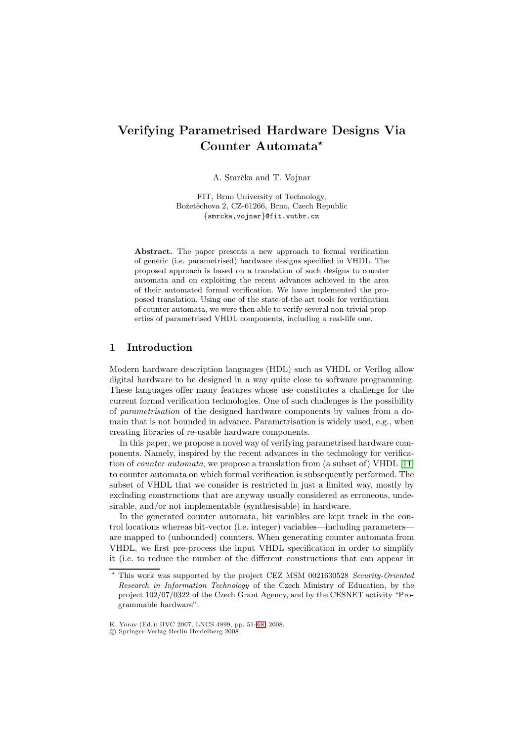# <span id="page-0-0"></span>**Verifying Parametrised Hardware Designs Via Counter Automata***-*

A. Smrčka and T. Vojnar

FIT, Brno University of Technology, Božetěchova 2, CZ-61266, Brno, Czech Republic {smrcka,vojnar}@fit.vutbr.cz

**Abstract.** The paper presents a new approach to formal verification of generic (i.e. parametrised) hardware designs specified in VHDL. The proposed approach is based on a translation of such designs to counter automata and on exploiting the recent advances achieved in the area of their automated formal verification. We have implemented the proposed translation. Using one of the state-of-the-art tools for verification of counter automata, we were then able to verify several non-trivial properties of parametrised VHDL components, including a real-life one.

# **1 Introduction**

Modern hardware description languages (HDL) such as VHDL or Verilog allow digital hardware to be designed in a way quite close to software programming. These languages offer many features whose use constitutes a challenge for the current formal verification technologies. One of such challenges is the possibility of parametrisation of the designed hardware components by values from a domain that is not bounded in advance. Parametrisation is widely used, e.g., when creating libraries of re-usable hardware components.

In this paper, we propose a novel way of verifying parametrised hardware components. Namely, inspired by the recent advances in the technology for verification of counter automata, we propose a translation from (a subset of) VHDL [\[11\]](#page-17-0) to counter automata on which formal verification is subsequently performed. The subset of VHDL that we consider is restricted in just a limited way, mostly by excluding constructions that are anyway usually considered as erroneous, undesirable, and/or not implementable (synthesisable) in hardware.

In the generated counter automata, bit variables are kept track in the control locations whereas bit-vector (i.e. integer) variables—including parameters are mapped to (unbounded) counters. When generating counter automata from VHDL, we first pre-process the input VHDL specification in order to simplify it (i.e. to reduce the number of the different constructions that can appear in

 $\star$  This work was supported by the project CEZ MSM 0021630528 Security-Oriented Research in Information Technology of the Czech Ministry of Education, by the project 102/07/0322 of the Czech Grant Agency, and by the CESNET activity "Programmable hardware".

K. Yorav (Ed.): HVC 2007, LNCS 4899, pp. 51[–68,](#page-16-0) 2008.

<sup>-</sup>c Springer-Verlag Berlin Heidelberg 2008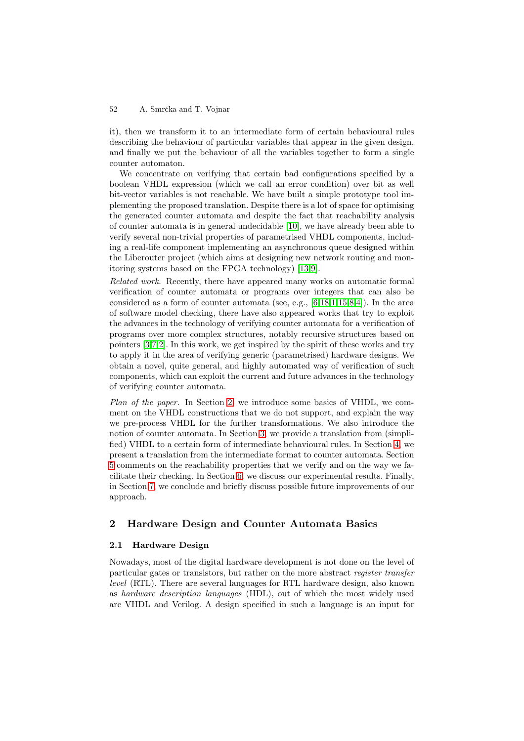it), then we transform it to an intermediate form of certain behavioural rules describing the behaviour of particular variables that appear in the given design, and finally we put the behaviour of all the variables together to form a single counter automaton.

We concentrate on verifying that certain bad configurations specified by a boolean VHDL expression (which we call an error condition) over bit as well bit-vector variables is not reachable. We have built a simple prototype tool implementing the proposed translation. Despite there is a lot of space for optimising the generated counter automata and despite the fact that reachability analysis of counter automata is in general undecidable [\[10\]](#page-17-1), we have already been able to verify several non-trivial properties of parametrised VHDL components, including a real-life component implementing an asynchronous queue designed within the Liberouter project (which aims at designing new network routing and monitoring systems based on the FPGA technology) [\[13](#page-17-2)[,9\]](#page-17-3).

Related work. Recently, there have appeared many works on automatic formal verification of counter automata or programs over integers that can also be considered as a form of counter automata (see, e.g., [\[6](#page-16-1)[,18](#page-17-4)[,1](#page-16-2)[,15,](#page-17-5)[8,](#page-16-3)[4\]](#page-16-4)). In the area of software model checking, there have also appeared works that try to exploit the advances in the technology of verifying counter automata for a verification of programs over more complex structures, notably recursive structures based on pointers [\[3,](#page-16-5)[7](#page-16-6)[,2\]](#page-16-7). In this work, we get inspired by the spirit of these works and try to apply it in the area of verifying generic (parametrised) hardware designs. We obtain a novel, quite general, and highly automated way of verification of such components, which can exploit the current and future advances in the technology of verifying counter automata.

Plan of the paper. In Section [2,](#page-1-0) we introduce some basics of VHDL, we comment on the VHDL constructions that we do not support, and explain the way we pre-process VHDL for the further transformations. We also introduce the notion of counter automata. In Section [3,](#page-8-0) we provide a translation from (simplified) VHDL to a certain form of intermediate behavioural rules. In Section [4,](#page-12-0) we present a translation from the intermediate format to counter automata. Section [5](#page-14-0) comments on the reachability properties that we verify and on the way we facilitate their checking. In Section [6,](#page-14-1) we discuss our experimental results. Finally, in Section [7,](#page-16-8) we conclude and briefly discuss possible future improvements of our approach.

# <span id="page-1-0"></span>**2 Hardware Design and Counter Automata Basics**

# **2.1 Hardware Design**

Nowadays, most of the digital hardware development is not done on the level of particular gates or transistors, but rather on the more abstract register transfer level (RTL). There are several languages for RTL hardware design, also known as hardware description languages (HDL), out of which the most widely used are VHDL and Verilog. A design specified in such a language is an input for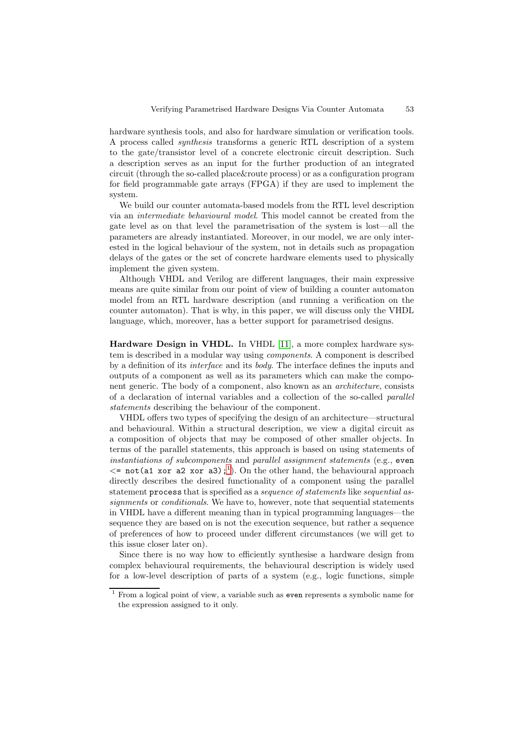hardware synthesis tools, and also for hardware simulation or verification tools. A process called synthesis transforms a generic RTL description of a system to the gate/transistor level of a concrete electronic circuit description. Such a description serves as an input for the further production of an integrated circuit (through the so-called place&route process) or as a configuration program for field programmable gate arrays (FPGA) if they are used to implement the system.

We build our counter automata-based models from the RTL level description via an intermediate behavioural model. This model cannot be created from the gate level as on that level the parametrisation of the system is lost—all the parameters are already instantiated. Moreover, in our model, we are only interested in the logical behaviour of the system, not in details such as propagation delays of the gates or the set of concrete hardware elements used to physically implement the given system.

Although VHDL and Verilog are different languages, their main expressive means are quite similar from our point of view of building a counter automaton model from an RTL hardware description (and running a verification on the counter automaton). That is why, in this paper, we will discuss only the VHDL language, which, moreover, has a better support for parametrised designs.

Hardware Design in VHDL. In VHDL [\[11\]](#page-17-0), a more complex hardware system is described in a modular way using components. A component is described by a definition of its interface and its body. The interface defines the inputs and outputs of a component as well as its parameters which can make the component generic. The body of a component, also known as an architecture, consists of a declaration of internal variables and a collection of the so-called parallel statements describing the behaviour of the component.

VHDL offers two types of specifying the design of an architecture—structural and behavioural. Within a structural description, we view a digital circuit as a composition of objects that may be composed of other smaller objects. In terms of the parallel statements, this approach is based on using statements of instantiations of subcomponents and parallel assignment statements (e.g., even  $\leq$  not (a[1](#page-2-0) xor a2 xor a3);<sup>1</sup>). On the other hand, the behavioural approach directly describes the desired functionality of a component using the parallel statement process that is specified as a *sequence of statements* like *sequential as*signments or *conditionals*. We have to, however, note that sequential statements in VHDL have a different meaning than in typical programming languages—the sequence they are based on is not the execution sequence, but rather a sequence of preferences of how to proceed under different circumstances (we will get to this issue closer later on).

Since there is no way how to efficiently synthesise a hardware design from complex behavioural requirements, the behavioural description is widely used for a low-level description of parts of a system (e.g., logic functions, simple

<span id="page-2-0"></span><sup>1</sup> From a logical point of view, a variable such as even represents a symbolic name for the expression assigned to it only.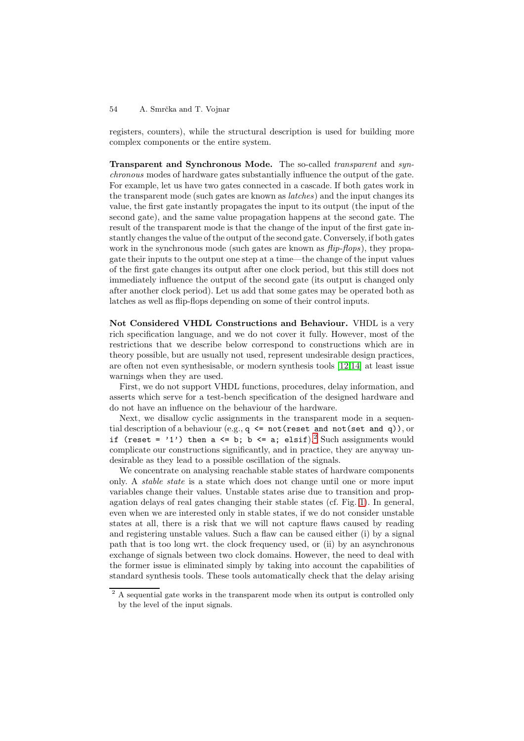registers, counters), while the structural description is used for building more complex components or the entire system.

**Transparent and Synchronous Mode.** The so-called transparent and synchronous modes of hardware gates substantially influence the output of the gate. For example, let us have two gates connected in a cascade. If both gates work in the transparent mode (such gates are known as latches) and the input changes its value, the first gate instantly propagates the input to its output (the input of the second gate), and the same value propagation happens at the second gate. The result of the transparent mode is that the change of the input of the first gate instantly changes the value of the output of the second gate. Conversely,if both gates work in the synchronous mode (such gates are known as  $flip-flops)$ , they propagate their inputs to the output one step at a time—the change of the input values of the first gate changes its output after one clock period, but this still does not immediately influence the output of the second gate (its output is changed only after another clock period). Let us add that some gates may be operated both as latches as well as flip-flops depending on some of their control inputs.

**Not Considered VHDL Constructions and Behaviour.** VHDL is a very rich specification language, and we do not cover it fully. However, most of the restrictions that we describe below correspond to constructions which are in theory possible, but are usually not used, represent undesirable design practices, are often not even synthesisable, or modern synthesis tools [\[12](#page-17-6)[,14\]](#page-17-7) at least issue warnings when they are used.

First, we do not support VHDL functions, procedures, delay information, and asserts which serve for a test-bench specification of the designed hardware and do not have an influence on the behaviour of the hardware.

Next, we disallow cyclic assignments in the transparent mode in a sequential description of a behaviour (e.g.,  $q \leq not$  (reset and not (set and q)), or if (reset = '1') then a  $\leq$  b; b  $\leq$  a; elsif).<sup>[2](#page-3-0)</sup> Such assignments would complicate our constructions significantly, and in practice, they are anyway undesirable as they lead to a possible oscillation of the signals.

We concentrate on analysing reachable stable states of hardware components only. A stable state is a state which does not change until one or more input variables change their values. Unstable states arise due to transition and propagation delays of real gates changing their stable states (cf. Fig. [1\)](#page-4-0). In general, even when we are interested only in stable states, if we do not consider unstable states at all, there is a risk that we will not capture flaws caused by reading and registering unstable values. Such a flaw can be caused either (i) by a signal path that is too long wrt. the clock frequency used, or (ii) by an asynchronous exchange of signals between two clock domains. However, the need to deal with the former issue is eliminated simply by taking into account the capabilities of standard synthesis tools. These tools automatically check that the delay arising

<span id="page-3-0"></span><sup>2</sup> A sequential gate works in the transparent mode when its output is controlled only by the level of the input signals.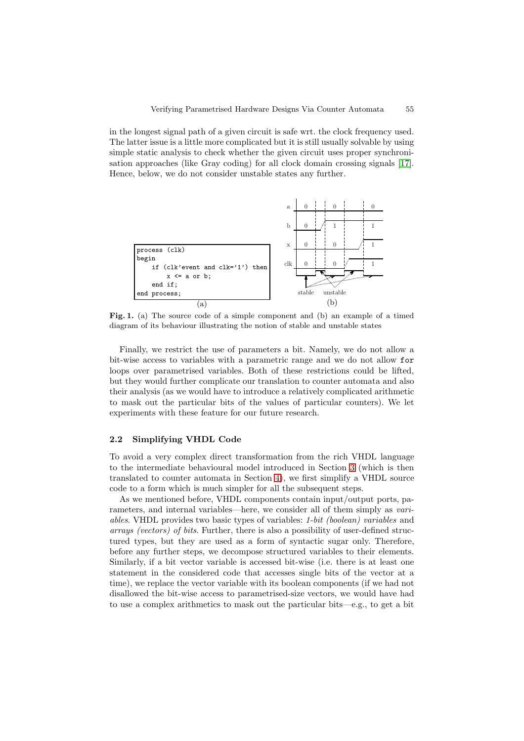in the longest signal path of a given circuit is safe wrt. the clock frequency used. The latter issue is a little more complicated but it is still usually solvable by using simple static analysis to check whether the given circuit uses proper synchronisation approaches (like Gray coding) for all clock domain crossing signals [\[17\]](#page-17-8). Hence, below, we do not consider unstable states any further.



<span id="page-4-0"></span>Fig. 1. (a) The source code of a simple component and (b) an example of a timed diagram of its behaviour illustrating the notion of stable and unstable states

Finally, we restrict the use of parameters a bit. Namely, we do not allow a bit-wise access to variables with a parametric range and we do not allow for loops over parametrised variables. Both of these restrictions could be lifted, but they would further complicate our translation to counter automata and also their analysis (as we would have to introduce a relatively complicated arithmetic to mask out the particular bits of the values of particular counters). We let experiments with these feature for our future research.

## <span id="page-4-1"></span>**2.2 Simplifying VHDL Code**

To avoid a very complex direct transformation from the rich VHDL language to the intermediate behavioural model introduced in Section [3](#page-8-0) (which is then translated to counter automata in Section [4\)](#page-12-0), we first simplify a VHDL source code to a form which is much simpler for all the subsequent steps.

As we mentioned before, VHDL components contain input/output ports, parameters, and internal variables—here, we consider all of them simply as *vari*ables. VHDL provides two basic types of variables: 1-bit (boolean) variables and arrays (vectors) of bits. Further, there is also a possibility of user-defined structured types, but they are used as a form of syntactic sugar only. Therefore, before any further steps, we decompose structured variables to their elements. Similarly, if a bit vector variable is accessed bit-wise (i.e. there is at least one statement in the considered code that accesses single bits of the vector at a time), we replace the vector variable with its boolean components (if we had not disallowed the bit-wise access to parametrised-size vectors, we would have had to use a complex arithmetics to mask out the particular bits—e.g., to get a bit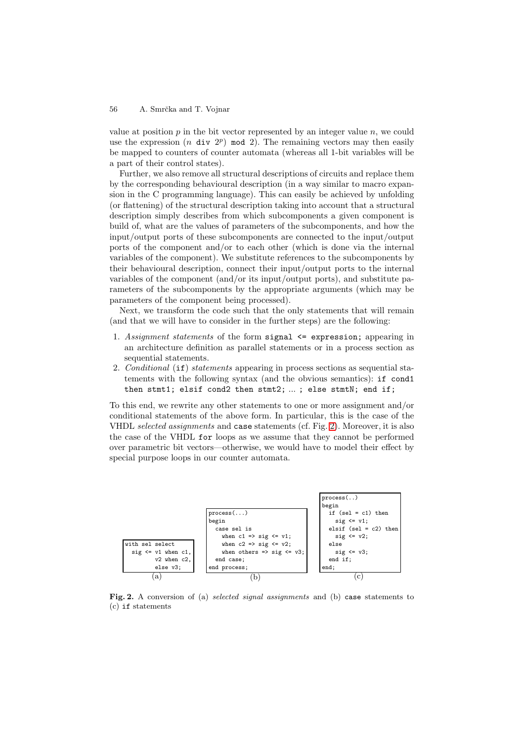value at position  $p$  in the bit vector represented by an integer value  $n$ , we could use the expression  $(n \text{ div } 2^p)$  mod 2). The remaining vectors may then easily be mapped to counters of counter automata (whereas all 1-bit variables will be a part of their control states).

Further, we also remove all structural descriptions of circuits and replace them by the corresponding behavioural description (in a way similar to macro expansion in the C programming language). This can easily be achieved by unfolding (or flattening) of the structural description taking into account that a structural description simply describes from which subcomponents a given component is build of, what are the values of parameters of the subcomponents, and how the input/output ports of these subcomponents are connected to the input/output ports of the component and/or to each other (which is done via the internal variables of the component). We substitute references to the subcomponents by their behavioural description, connect their input/output ports to the internal variables of the component (and/or its input/output ports), and substitute parameters of the subcomponents by the appropriate arguments (which may be parameters of the component being processed).

Next, we transform the code such that the only statements that will remain (and that we will have to consider in the further steps) are the following:

- 1. Assignment statements of the form signal <= expression; appearing in an architecture definition as parallel statements or in a process section as sequential statements.
- 2. Conditional (if) statements appearing in process sections as sequential statements with the following syntax (and the obvious semantics): if cond1 then stmt1; elsif cond2 then stmt2; ... ; else stmtN; end if;

To this end, we rewrite any other statements to one or more assignment and/or conditional statements of the above form. In particular, this is the case of the VHDL selected assignments and case statements (cf. Fig. [2\)](#page-5-0). Moreover, it is also the case of the VHDL for loops as we assume that they cannot be performed over parametric bit vectors—otherwise, we would have to model their effect by special purpose loops in our counter automata.



<span id="page-5-0"></span>Fig. 2. A conversion of (a) *selected signal assignments* and (b) case statements to (c) if statements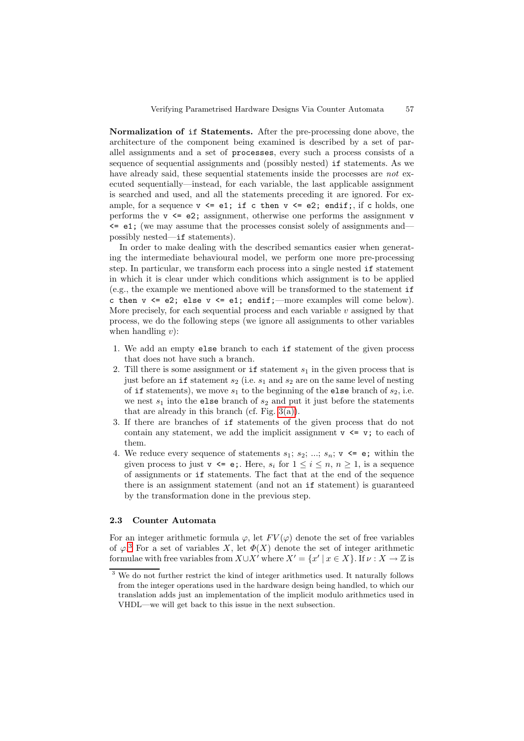**Normalization of** if **Statements.** After the pre-processing done above, the architecture of the component being examined is described by a set of parallel assignments and a set of processes, every such a process consists of a sequence of sequential assignments and (possibly nested) if statements. As we have already said, these sequential statements inside the processes are not executed sequentially—instead, for each variable, the last applicable assignment is searched and used, and all the statements preceding it are ignored. For example, for a sequence  $v \leq -e1$ ; if c then  $v \leq -e2$ ; endif;, if c holds, one performs the  $v \le e2$ ; assignment, otherwise one performs the assignment  $v$  $\leq$  e1; (we may assume that the processes consist solely of assignments and possibly nested—if statements).

In order to make dealing with the described semantics easier when generating the intermediate behavioural model, we perform one more pre-processing step. In particular, we transform each process into a single nested if statement in which it is clear under which conditions which assignment is to be applied (e.g., the example we mentioned above will be transformed to the statement if c then  $v \leq e2$ ; else  $v \leq e1$ ; endif; - more examples will come below). More precisely, for each sequential process and each variable  $v$  assigned by that process, we do the following steps (we ignore all assignments to other variables when handling  $v$ :

- 1. We add an empty else branch to each if statement of the given process that does not have such a branch.
- 2. Till there is some assignment or  $if$  statement  $s_1$  in the given process that is just before an if statement  $s_2$  (i.e.  $s_1$  and  $s_2$  are on the same level of nesting of if statements), we move  $s_1$  to the beginning of the else branch of  $s_2$ , i.e. we nest  $s_1$  into the else branch of  $s_2$  and put it just before the statements that are already in this branch (cf. Fig.  $3(a)$ ).
- 3. If there are branches of if statements of the given process that do not contain any statement, we add the implicit assignment  $v \le v$ ; to each of them.
- 4. We reduce every sequence of statements  $s_1; s_2; \ldots; s_n; \mathbf{v} \leq \mathbf{e}$ ; within the given process to just  $\mathbf{v} \leq \mathbf{e}$ ;. Here,  $s_i$  for  $1 \leq i \leq n$ ,  $n \geq 1$ , is a sequence of assignments or if statements. The fact that at the end of the sequence there is an assignment statement (and not an if statement) is guaranteed by the transformation done in the previous step.

## <span id="page-6-1"></span>**2.3 Counter Automata**

For an integer arithmetic formula  $\varphi$ , let  $FV(\varphi)$  denote the set of free variables of  $\varphi$ <sup>[3](#page-6-0)</sup>. For a set of variables X, let  $\Phi(X)$  denote the set of integer arithmetic formulae with free variables from  $X\cup X'$  where  $X' = \{x' | x \in X\}$ . If  $\nu : X \to \mathbb{Z}$  is

<span id="page-6-0"></span> $3$  We do not further restrict the kind of integer arithmetics used. It naturally follows from the integer operations used in the hardware design being handled, to which our translation adds just an implementation of the implicit modulo arithmetics used in VHDL—we will get back to this issue in the next subsection.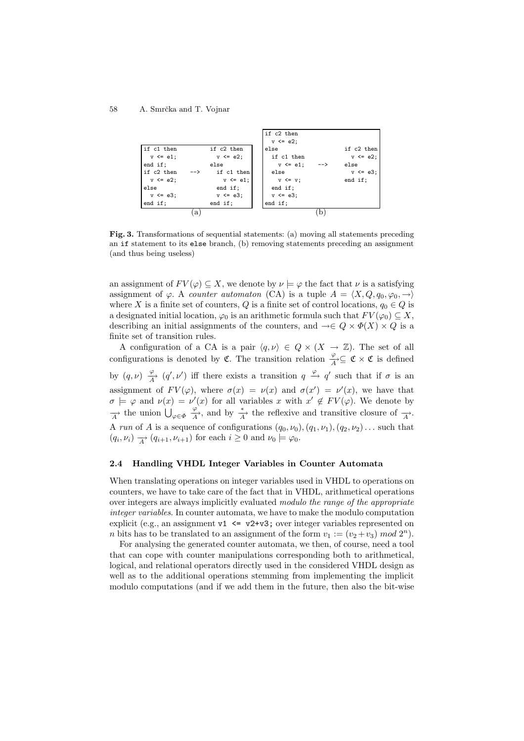

<span id="page-7-0"></span>**Fig. 3.** Transformations of sequential statements: (a) moving all statements preceding an if statement to its else branch, (b) removing statements preceding an assignment (and thus being useless)

an assignment of  $FV(\varphi) \subseteq X$ , we denote by  $\nu \models \varphi$  the fact that  $\nu$  is a satisfying assignment of  $\varphi$ . A counter automaton (CA) is a tuple  $A = \langle X, Q, q_0, \varphi_0, \rightarrow \rangle$ where X is a finite set of counters, Q is a finite set of control locations,  $q_0 \in Q$  is a designated initial location,  $\varphi_0$  is an arithmetic formula such that  $FV(\varphi_0) \subset X$ , describing an initial assignments of the counters, and  $\rightarrow \in Q \times \Phi(X) \times Q$  is a finite set of transition rules.

A configuration of a CA is a pair  $\langle q, \nu \rangle \in Q \times (X \to \mathbb{Z})$ . The set of all configurations is denoted by  $\mathfrak{C}$ . The transition relation  $\frac{\varphi}{A} \subseteq \mathfrak{C} \times \mathfrak{C}$  is defined by  $(q, \nu) \xrightarrow[A]{\varphi} (q', \nu')$  iff there exists a transition  $q \xrightarrow{\varphi} q'$  such that if  $\sigma$  is an assignment of  $FV(\varphi)$ , where  $\sigma(x) = \nu(x)$  and  $\sigma(x') = \nu'(x)$ , we have that  $\sigma \models \varphi$  and  $\nu(x) = \nu'(x)$  for all variables x with  $x' \notin FV(\varphi)$ . We denote by  $\overrightarrow{A}$  the union  $\bigcup_{\varphi \in \Phi}$  $\frac{\varphi}{A}$ , and by  $\frac{*}{A}$  the reflexive and transitive closure of  $\frac{A}{A}$ . A run of A is a sequence of configurations  $(q_0, \nu_0), (q_1, \nu_1), (q_2, \nu_2) \dots$  such that  $(q_i, \nu_i) \rightarrow (q_{i+1}, \nu_{i+1})$  for each  $i \geq 0$  and  $\nu_0 \models \varphi_0$ .

## **2.4 Handling VHDL Integer Variables in Counter Automata**

When translating operations on integer variables used in VHDL to operations on counters, we have to take care of the fact that in VHDL, arithmetical operations over integers are always implicitly evaluated modulo the range of the appropriate integer variables. In counter automata, we have to make the modulo computation explicit (e.g., an assignment  $v1 \le v2+v3$ ; over integer variables represented on n bits has to be translated to an assignment of the form  $v_1 := (v_2 + v_3) \mod 2^n$ .

For analysing the generated counter automata, we then, of course, need a tool that can cope with counter manipulations corresponding both to arithmetical, logical, and relational operators directly used in the considered VHDL design as well as to the additional operations stemming from implementing the implicit modulo computations (and if we add them in the future, then also the bit-wise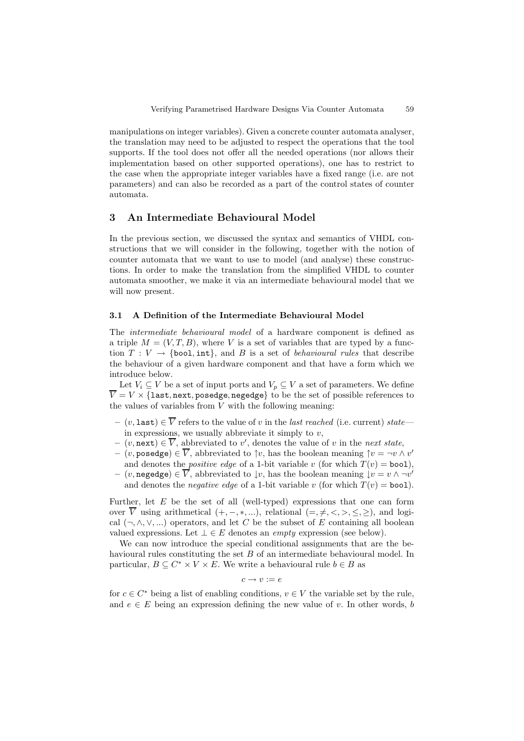manipulations on integer variables). Given a concrete counter automata analyser, the translation may need to be adjusted to respect the operations that the tool supports. If the tool does not offer all the needed operations (nor allows their implementation based on other supported operations), one has to restrict to the case when the appropriate integer variables have a fixed range (i.e. are not parameters) and can also be recorded as a part of the control states of counter automata.

# <span id="page-8-0"></span>**3 An Intermediate Behavioural Model**

In the previous section, we discussed the syntax and semantics of VHDL constructions that we will consider in the following, together with the notion of counter automata that we want to use to model (and analyse) these constructions. In order to make the translation from the simplified VHDL to counter automata smoother, we make it via an intermediate behavioural model that we will now present.

## **3.1 A Definition of the Intermediate Behavioural Model**

The intermediate behavioural model of a hardware component is defined as a triple  $M = (V, T, B)$ , where V is a set of variables that are typed by a function  $T: V \to \{\text{bool}, \text{int}\},$  and B is a set of behavioural rules that describe the behaviour of a given hardware component and that have a form which we introduce below.

Let  $V_i \subseteq V$  be a set of input ports and  $V_p \subseteq V$  a set of parameters. We define  $\overline{V} = V \times \{\texttt{last}, \texttt{next}, \texttt{posedge}, \texttt{negedge}\}$  to be the set of possible references to the values of variables from  $V$  with the following meaning:

- $(v, \text{last}) \in \overline{V}$  refers to the value of v in the *last reached* (i.e. current) state in expressions, we usually abbreviate it simply to  $v$ ,
- $-$  (*v*, next) ∈ *V*, abbreviated to *v'*, denotes the value of *v* in the *next state*,
- $(v, \text{posedge}) \in \overline{V}$ , abbreviated to  $\uparrow v$ , has the boolean meaning  $\uparrow v = \neg v \wedge v'$ and denotes the *positive edge* of a 1-bit variable v (for which  $T(v) = \text{bool}$ ),
- **–** (v, negedge) ∈  $\overline{V}$ , abbreviated to  $\downarrow v$ , has the boolean meaning  $\downarrow v = v \land \neg v'$ and denotes the *negative edge* of a 1-bit variable v (for which  $T(v) = \text{bool}$ ).

Further, let  $E$  be the set of all (well-typed) expressions that one can form over V using arithmetical  $(+, -, *, ...),$  relational  $(=, \neq, <, >, \leq, \geq),$  and logical  $(\neg, \wedge, \vee, \dots)$  operators, and let C be the subset of E containing all boolean valued expressions. Let  $\bot \in E$  denotes an *empty* expression (see below).

We can now introduce the special conditional assignments that are the behavioural rules constituting the set B of an intermediate behavioural model. In particular,  $B \subseteq C^* \times V \times E$ . We write a behavioural rule  $b \in B$  as

 $c \rightarrow v := e$ 

for  $c \in C^*$  being a list of enabling conditions,  $v \in V$  the variable set by the rule, and  $e \in E$  being an expression defining the new value of v. In other words, b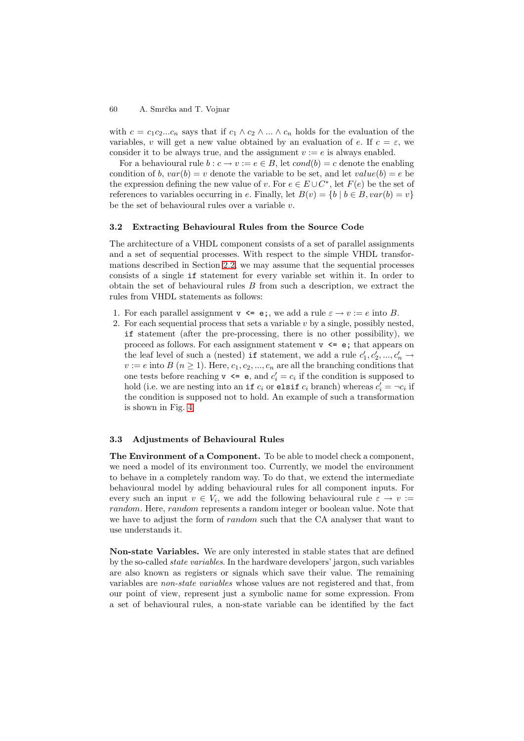with  $c = c_1c_2...c_n$  says that if  $c_1 \wedge c_2 \wedge ... \wedge c_n$  holds for the evaluation of the variables, v will get a new value obtained by an evaluation of e. If  $c = \varepsilon$ , we consider it to be always true, and the assignment  $v := e$  is always enabled.

For a behavioural rule  $b : c \to v := e \in B$ , let  $cond(b) = c$  denote the enabling condition of b,  $var(b) = v$  denote the variable to be set, and let  $value(b) = e$  be the expression defining the new value of v. For  $e \in E \cup C^*$ , let  $F(e)$  be the set of references to variables occurring in e. Finally, let  $B(v) = \{b \mid b \in B, var(b) = v\}$ be the set of behavioural rules over a variable v.

## **3.2 Extracting Behavioural Rules from the Source Code**

The architecture of a VHDL component consists of a set of parallel assignments and a set of sequential processes. With respect to the simple VHDL transformations described in Section [2.2,](#page-4-1) we may assume that the sequential processes consists of a single if statement for every variable set within it. In order to obtain the set of behavioural rules B from such a description, we extract the rules from VHDL statements as follows:

- 1. For each parallel assignment  $\mathbf{v} \leq \mathbf{e}$ ;, we add a rule  $\varepsilon \to v := e$  into B.
- 2. For each sequential process that sets a variable  $v$  by a single, possibly nested, if statement (after the pre-processing, there is no other possibility), we proceed as follows. For each assignment statement  $v \leq e$ ; that appears on the leaf level of such a (nested) **if** statement, we add a rule  $c'_1, c'_2, ..., c'_n \rightarrow$  $v := e$  into  $B$   $(n \geq 1)$ . Here,  $c_1, c_2, ..., c_n$  are all the branching conditions that one tests before reaching  $\mathbf{v} \leq \mathbf{e}$ , and  $c_i' = c_i$  if the condition is supposed to hold (i.e. we are nesting into an if  $c_i$  or elsif  $c_i$  branch) whereas  $c_i' = \neg c_i$  if the condition is supposed not to hold. An example of such a transformation is shown in Fig. [4.](#page-10-0)

## **3.3 Adjustments of Behavioural Rules**

**The Environment of a Component.** To be able to model check a component, we need a model of its environment too. Currently, we model the environment to behave in a completely random way. To do that, we extend the intermediate behavioural model by adding behavioural rules for all component inputs. For every such an input  $v \in V_i$ , we add the following behavioural rule  $\varepsilon \to v :=$ random. Here, random represents a random integer or boolean value. Note that we have to adjust the form of random such that the CA analyser that want to use understands it.

**Non-state Variables.** We are only interested in stable states that are defined by the so-called state variables. In the hardware developers' jargon, such variables are also known as registers or signals which save their value. The remaining variables are non-state variables whose values are not registered and that, from our point of view, represent just a symbolic name for some expression. From a set of behavioural rules, a non-state variable can be identified by the fact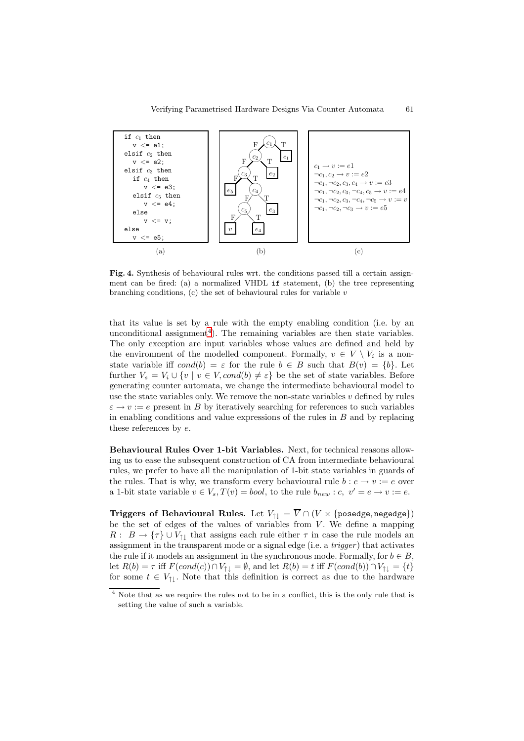

<span id="page-10-0"></span>**Fig. 4.** Synthesis of behavioural rules wrt. the conditions passed till a certain assignment can be fired: (a) a normalized VHDL if statement, (b) the tree representing branching conditions,  $(c)$  the set of behavioural rules for variable  $v$ 

that its value is set by a rule with the empty enabling condition (i.e. by an unconditional assignment<sup>[4](#page-10-1)</sup>). The remaining variables are then state variables. The only exception are input variables whose values are defined and held by the environment of the modelled component. Formally,  $v \in V \setminus V_i$  is a nonstate variable iff  $cond(b) = \varepsilon$  for the rule  $b \in B$  such that  $B(v) = \{b\}$ . Let further  $V_s = V_i \cup \{v \mid v \in V, cond(b) \neq \varepsilon\}$  be the set of state variables. Before generating counter automata, we change the intermediate behavioural model to use the state variables only. We remove the non-state variables v defined by rules  $\varepsilon \to v := e$  present in B by iteratively searching for references to such variables in enabling conditions and value expressions of the rules in  $B$  and by replacing these references by e.

**Behavioural Rules Over 1-bit Variables.** Next, for technical reasons allowing us to ease the subsequent construction of CA from intermediate behavioural rules, we prefer to have all the manipulation of 1-bit state variables in guards of the rules. That is why, we transform every behavioural rule  $b : c \rightarrow v := e$  over a 1-bit state variable  $v \in V_s$ ,  $T(v) = bool$ , to the rule  $b_{new} : c, v' = e \rightarrow v := e$ .

**Triggers of Behavioural Rules.** Let  $V_{\uparrow\downarrow} = \overline{V} \cap (V \times \{\text{posedge}, \text{negedge}\})$ be the set of edges of the values of variables from  $V$ . We define a mapping  $R: B \to {\tau}$   $\cup$   $V_{\uparrow\downarrow}$  that assigns each rule either  $\tau$  in case the rule models an assignment in the transparent mode or a signal edge (i.e. a *trigger*) that activates the rule if it models an assignment in the synchronous mode. Formally, for  $b \in B$ , let  $R(b) = \tau$  iff  $F(cond(c)) \cap V_{\uparrow\downarrow} = \emptyset$ , and let  $R(b) = t$  iff  $F(cond(b)) \cap V_{\uparrow\downarrow} = \{t\}$ for some  $t \in V_{\uparrow\downarrow}$ . Note that this definition is correct as due to the hardware

<span id="page-10-1"></span>Note that as we require the rules not to be in a conflict, this is the only rule that is setting the value of such a variable.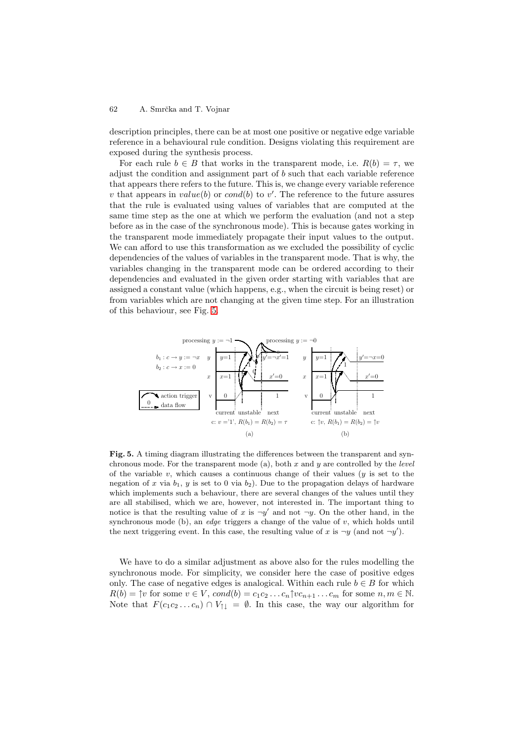description principles, there can be at most one positive or negative edge variable reference in a behavioural rule condition. Designs violating this requirement are exposed during the synthesis process.

For each rule  $b \in B$  that works in the transparent mode, i.e.  $R(b) = \tau$ , we adjust the condition and assignment part of b such that each variable reference that appears there refers to the future. This is, we change every variable reference v that appears in  $value(b)$  or  $cond(b)$  to v'. The reference to the future assures that the rule is evaluated using values of variables that are computed at the same time step as the one at which we perform the evaluation (and not a step before as in the case of the synchronous mode). This is because gates working in the transparent mode immediately propagate their input values to the output. We can afford to use this transformation as we excluded the possibility of cyclic dependencies of the values of variables in the transparent mode. That is why, the variables changing in the transparent mode can be ordered according to their dependencies and evaluated in the given order starting with variables that are assigned a constant value (which happens, e.g., when the circuit is being reset) or from variables which are not changing at the given time step. For an illustration of this behaviour, see Fig. [5.](#page-11-0)



<span id="page-11-0"></span>**Fig. 5.** A timing diagram illustrating the differences between the transparent and synchronous mode. For the transparent mode (a), both  $x$  and  $y$  are controlled by the *level* of the variable v, which causes a continuous change of their values (y is set to the negation of x via  $b_1$ , y is set to 0 via  $b_2$ ). Due to the propagation delays of hardware which implements such a behaviour, there are several changes of the values until they are all stabilised, which we are, however, not interested in. The important thing to notice is that the resulting value of x is  $\neg y'$  and not  $\neg y$ . On the other hand, in the synchronous mode (b), an *edge* triggers a change of the value of  $v$ , which holds until the next triggering event. In this case, the resulting value of x is  $\neg y$  (and not  $\neg y'$ ).

We have to do a similar adjustment as above also for the rules modelling the synchronous mode. For simplicity, we consider here the case of positive edges only. The case of negative edges is analogical. Within each rule  $b \in B$  for which  $R(b) = \gamma v$  for some  $v \in V$ ,  $cond(b) = c_1 c_2 \dots c_n \gamma v c_{n+1} \dots c_m$  for some  $n, m \in \mathbb{N}$ . Note that  $F(c_1c_2...c_n) \cap V_{\uparrow\downarrow} = \emptyset$ . In this case, the way our algorithm for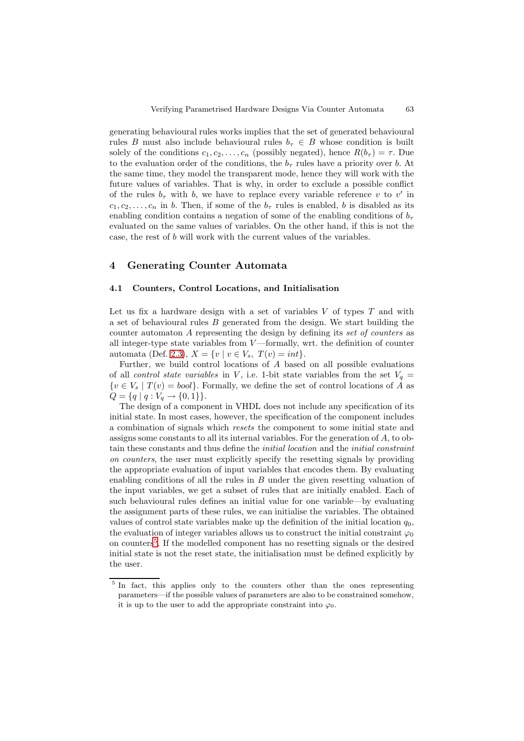generating behavioural rules works implies that the set of generated behavioural rules B must also include behavioural rules  $b<sub>\tau</sub> \in B$  whose condition is built solely of the conditions  $c_1, c_2, \ldots, c_n$  (possibly negated), hence  $R(b_\tau) = \tau$ . Due to the evaluation order of the conditions, the  $b<sub>\tau</sub>$  rules have a priority over b. At the same time, they model the transparent mode, hence they will work with the future values of variables. That is why, in order to exclude a possible conflict of the rules  $b<sub>\tau</sub>$  with b, we have to replace every variable reference v to v' in  $c_1, c_2, \ldots, c_n$  in b. Then, if some of the  $b_\tau$  rules is enabled, b is disabled as its enabling condition contains a negation of some of the enabling conditions of  $b<sub>\tau</sub>$ evaluated on the same values of variables. On the other hand, if this is not the case, the rest of b will work with the current values of the variables.

# <span id="page-12-0"></span>**4 Generating Counter Automata**

## **4.1 Counters, Control Locations, and Initialisation**

Let us fix a hardware design with a set of variables  $V$  of types  $T$  and with a set of behavioural rules  $B$  generated from the design. We start building the counter automaton A representing the design by defining its set of counters as all integer-type state variables from  $V$ —formally, wrt. the definition of counter automata (Def. [2.3\)](#page-6-1),  $X = \{v \mid v \in V_s, T(v) = int\}.$ 

Further, we build control locations of A based on all possible evaluations of all control state variables in V, i.e. 1-bit state variables from the set  $V_q =$  ${v \in V_s \mid T(v) = bool}.$  Formally, we define the set of control locations of A as  $Q = \{q \mid q : V_q \to \{0, 1\}\}.$ 

The design of a component in VHDL does not include any specification of its initial state. In most cases, however, the specification of the component includes a combination of signals which resets the component to some initial state and assigns some constants to all its internal variables. For the generation of A, to obtain these constants and thus define the initial location and the initial constraint on counters, the user must explicitly specify the resetting signals by providing the appropriate evaluation of input variables that encodes them. By evaluating enabling conditions of all the rules in  $B$  under the given resetting valuation of the input variables, we get a subset of rules that are initially enabled. Each of such behavioural rules defines an initial value for one variable—by evaluating the assignment parts of these rules, we can initialise the variables. The obtained values of control state variables make up the definition of the initial location  $q_0$ , the evaluation of integer variables allows us to construct the initial constraint  $\varphi_0$ on counters[5](#page-12-1). If the modelled component has no resetting signals or the desired initial state is not the reset state, the initialisation must be defined explicitly by the user.

<span id="page-12-1"></span><sup>&</sup>lt;sup>5</sup> In fact, this applies only to the counters other than the ones representing parameters—if the possible values of parameters are also to be constrained somehow, it is up to the user to add the appropriate constraint into  $\varphi_0$ .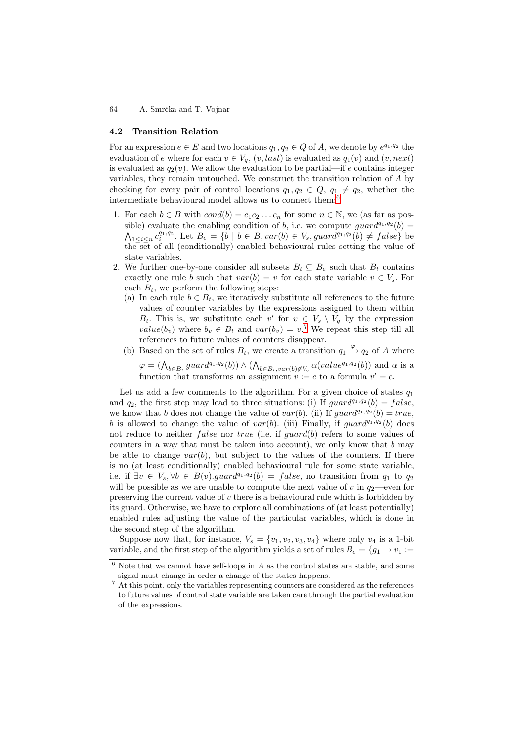## **4.2 Transition Relation**

For an expression  $e \in E$  and two locations  $q_1, q_2 \in Q$  of A, we denote by  $e^{q_1, q_2}$  the evaluation of e where for each  $v \in V_a$ ,  $(v, last)$  is evaluated as  $q_1(v)$  and  $(v, next)$ is evaluated as  $q_2(v)$ . We allow the evaluation to be partial—if e contains integer variables, they remain untouched. We construct the transition relation of A by checking for every pair of control locations  $q_1, q_2 \in Q, q_1 \neq q_2$ , whether the intermediate behavioural model allows us to connect them:[6](#page-13-0)

- 1. For each  $b \in B$  with  $cond(b) = c_1 c_2 \dots c_n$  for some  $n \in \mathbb{N}$ , we (as far as possible) evaluate the enabling condition of b, i.e. we compute  $guard^{q_1,q_2}(b)$  =  $\bigwedge_{1 \leq i \leq n} c_i^{q_1,q_2}$ . Let  $B_e = \{b \mid b \in B, \text{var}(b) \in V_s, \text{guard}^{q_1,q_2}(b) \neq \text{false}\}\)$  be the set of all (conditionally) enabled behavioural rules setting the value of state variables.
- 2. We further one-by-one consider all subsets  $B_t \subseteq B_e$  such that  $B_t$  contains exactly one rule b such that  $var(b) = v$  for each state variable  $v \in V_s$ . For each  $B_t$ , we perform the following steps:
	- (a) In each rule  $b \in B_t$ , we iteratively substitute all references to the future values of counter variables by the expressions assigned to them within  $B_t$ . This is, we substitute each v' for  $v \in V_s \setminus V_q$  by the expression  $value(b_v)$  where  $b_v \in B_t$  and  $var(b_v) = v$ .<sup>[7](#page-13-1)</sup> We repeat this step till all references to future values of counters disappear.
	- (b) Based on the set of rules  $B_t$ , we create a transition  $q_1 \stackrel{\varphi}{\rightarrow} q_2$  of A where  $\varphi = (\bigwedge_{b \in B_t} guard^{q_1,q_2}(b)) \wedge (\bigwedge_{b \in B_t, var(b) \notin V_q} \alpha(value^{q_1,q_2}(b))$  and  $\alpha$  is a function that transforms an assignment  $v := e$  to a formula  $v' = e$ .

Let us add a few comments to the algorithm. For a given choice of states  $q_1$ and  $q_2$ , the first step may lead to three situations: (i) If  $quard^{q_1,q_2}(b) = false$ , we know that b does not change the value of  $var(b)$ . (ii) If  $guard^{q_1,q_2}(b) = true$ , b is allowed to change the value of  $var(b)$ . (iii) Finally, if  $quard^{q_1,q_2}(b)$  does not reduce to neither *false* nor *true* (i.e. if  $quard(b)$  refers to some values of counters in a way that must be taken into account), we only know that  $b$  may be able to change  $var(b)$ , but subject to the values of the counters. If there is no (at least conditionally) enabled behavioural rule for some state variable, i.e. if  $\exists v \in V_s, \forall b \in B(v)$ .guard<sup>q1,q2</sup>(b) = false, no transition from  $q_1$  to  $q_2$ will be possible as we are unable to compute the next value of v in  $q_2$ —even for preserving the current value of  $v$  there is a behavioural rule which is forbidden by its guard. Otherwise, we have to explore all combinations of (at least potentially) enabled rules adjusting the value of the particular variables, which is done in the second step of the algorithm.

Suppose now that, for instance,  $V_s = \{v_1, v_2, v_3, v_4\}$  where only  $v_4$  is a 1-bit variable, and the first step of the algorithm yields a set of rules  $B_e = \{g_1 \rightarrow v_1 :=$ 

<span id="page-13-0"></span> $6$  Note that we cannot have self-loops in A as the control states are stable, and some signal must change in order a change of the states happens.

<span id="page-13-1"></span> $\frac{7}{11}$  At this point, only the variables representing counters are considered as the references to future values of control state variable are taken care through the partial evaluation of the expressions.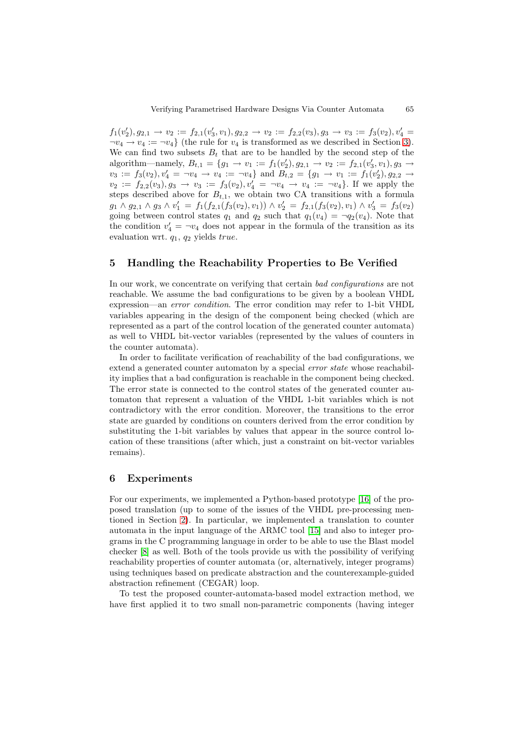$f_1(v_2'), g_{2,1} \rightarrow v_2 := f_{2,1}(v_3', v_1), g_{2,2} \rightarrow v_2 := f_{2,2}(v_3), g_3 \rightarrow v_3 := f_3(v_2), v_4' =$  $\neg v_4 \rightarrow v_4 := \neg v_4$  (the rule for  $v_4$  is transformed as we described in Section [3\)](#page-8-0). We can find two subsets  $B_t$  that are to be handled by the second step of the algorithm—namely,  $B_{t,1} = \{g_1 \rightarrow v_1 := f_1(v_2'), g_{2,1} \rightarrow v_2 := f_{2,1}(v_3', v_1), g_3 \rightarrow v_3\}$  $v_3 := f_3(v_2), v_4' = \neg v_4 \rightarrow v_4 := \neg v_4$  and  $B_{t,2} = \{g_1 \rightarrow v_1 := f_1(v_2'), g_{2,2} \rightarrow$  $v_2 := f_{2,2}(v_3), g_3 \to v_3 := f_3(v_2), v_4' = \neg v_4 \to v_4 := \neg v_4$ . If we apply the steps described above for  $B_{t,1}$ , we obtain two CA transitions with a formula  $g_1 \wedge g_{2,1} \wedge g_3 \wedge v_1' = f_1(f_{2,1}(f_3(v_2), v_1)) \wedge v_2' = f_{2,1}(f_3(v_2), v_1) \wedge v_3' = f_3(v_2)$ going between control states  $q_1$  and  $q_2$  such that  $q_1(v_4) = \neg q_2(v_4)$ . Note that the condition  $v'_4 = \neg v_4$  does not appear in the formula of the transition as its evaluation wrt.  $q_1$ ,  $q_2$  yields true.

# <span id="page-14-0"></span>**5 Handling the Reachability Properties to Be Verified**

In our work, we concentrate on verifying that certain bad configurations are not reachable. We assume the bad configurations to be given by a boolean VHDL expression—an error condition. The error condition may refer to 1-bit VHDL variables appearing in the design of the component being checked (which are represented as a part of the control location of the generated counter automata) as well to VHDL bit-vector variables (represented by the values of counters in the counter automata).

In order to facilitate verification of reachability of the bad configurations, we extend a generated counter automaton by a special error state whose reachability implies that a bad configuration is reachable in the component being checked. The error state is connected to the control states of the generated counter automaton that represent a valuation of the VHDL 1-bit variables which is not contradictory with the error condition. Moreover, the transitions to the error state are guarded by conditions on counters derived from the error condition by substituting the 1-bit variables by values that appear in the source control location of these transitions (after which, just a constraint on bit-vector variables remains).

# <span id="page-14-1"></span>**6 Experiments**

For our experiments, we implemented a Python-based prototype [\[16\]](#page-17-9) of the proposed translation (up to some of the issues of the VHDL pre-processing mentioned in Section [2\)](#page-1-0). In particular, we implemented a translation to counter automata in the input language of the ARMC tool [\[15\]](#page-17-5) and also to integer programs in the C programming language in order to be able to use the Blast model checker [\[8\]](#page-16-3) as well. Both of the tools provide us with the possibility of verifying reachability properties of counter automata (or, alternatively, integer programs) using techniques based on predicate abstraction and the counterexample-guided abstraction refinement (CEGAR) loop.

To test the proposed counter-automata-based model extraction method, we have first applied it to two small non-parametric components (having integer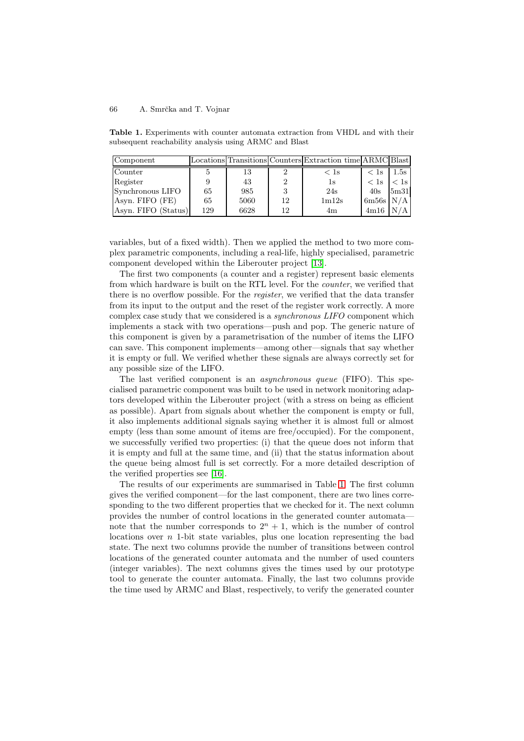<span id="page-15-0"></span>**Table 1.** Experiments with counter automata extraction from VHDL and with their subsequent reachability analysis using ARMC and Blast

| Component           |     |      |    | Locations Transitions Counters Extraction time ARMC Blast |             |      |
|---------------------|-----|------|----|-----------------------------------------------------------|-------------|------|
| Counter             |     | 13   |    | $<$ 1s                                                    | < 1s        | 1.5s |
| Register            |     | 43   |    | ls                                                        | $\rm < 1s$  | < 1s |
| Synchronous LIFO    | 65  | 985  |    | 24s                                                       | 40s         | 5m31 |
| Asyn. FIFO (FE)     | 65  | 5060 | 12 | 1m12s                                                     | $6m56s$ N/A |      |
| Asyn. FIFO (Status) | 129 | 6628 | 12 | 4m                                                        | 4m16        |      |

variables, but of a fixed width). Then we applied the method to two more complex parametric components, including a real-life, highly specialised, parametric component developed within the Liberouter project [\[13\]](#page-17-2).

The first two components (a counter and a register) represent basic elements from which hardware is built on the RTL level. For the counter, we verified that there is no overflow possible. For the register, we verified that the data transfer from its input to the output and the reset of the register work correctly. A more complex case study that we considered is a synchronous LIFO component which implements a stack with two operations—push and pop. The generic nature of this component is given by a parametrisation of the number of items the LIFO can save. This component implements—among other—signals that say whether it is empty or full. We verified whether these signals are always correctly set for any possible size of the LIFO.

The last verified component is an asynchronous queue (FIFO). This specialised parametric component was built to be used in network monitoring adaptors developed within the Liberouter project (with a stress on being as efficient as possible). Apart from signals about whether the component is empty or full, it also implements additional signals saying whether it is almost full or almost empty (less than some amount of items are free/occupied). For the component, we successfully verified two properties: (i) that the queue does not inform that it is empty and full at the same time, and (ii) that the status information about the queue being almost full is set correctly. For a more detailed description of the verified properties see [\[16\]](#page-17-9).

The results of our experiments are summarised in Table [1.](#page-15-0) The first column gives the verified component—for the last component, there are two lines corresponding to the two different properties that we checked for it. The next column provides the number of control locations in the generated counter automata note that the number corresponds to  $2^n + 1$ , which is the number of control locations over  $n$  1-bit state variables, plus one location representing the bad state. The next two columns provide the number of transitions between control locations of the generated counter automata and the number of used counters (integer variables). The next columns gives the times used by our prototype tool to generate the counter automata. Finally, the last two columns provide the time used by ARMC and Blast, respectively, to verify the generated counter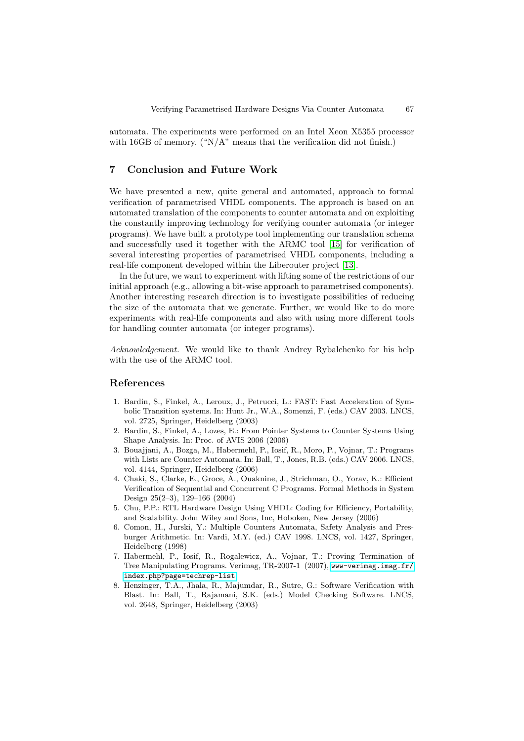automata. The experiments were performed on an Intel Xeon X5355 processor with 16GB of memory. ("N/A" means that the verification did not finish.)

# <span id="page-16-8"></span>**7 Conclusion and Future Work**

We have presented a new, quite general and automated, approach to formal verification of parametrised VHDL components. The approach is based on an automated translation of the components to counter automata and on exploiting the constantly improving technology for verifying counter automata (or integer programs). We have built a prototype tool implementing our translation schema and successfully used it together with the ARMC tool [\[15\]](#page-17-5) for verification of several interesting properties of parametrised VHDL components, including a real-life component developed within the Liberouter project [\[13\]](#page-17-2).

In the future, we want to experiment with lifting some of the restrictions of our initial approach (e.g., allowing a bit-wise approach to parametrised components). Another interesting research direction is to investigate possibilities of reducing the size of the automata that we generate. Further, we would like to do more experiments with real-life components and also with using more different tools for handling counter automata (or integer programs).

Acknowledgement. We would like to thank Andrey Rybalchenko for his help with the use of the ARMC tool.

# <span id="page-16-2"></span><span id="page-16-0"></span>**References**

- 1. Bardin, S., Finkel, A., Leroux, J., Petrucci, L.: FAST: Fast Acceleration of Symbolic Transition systems. In: Hunt Jr., W.A., Somenzi, F. (eds.) CAV 2003. LNCS, vol. 2725, Springer, Heidelberg (2003)
- <span id="page-16-7"></span>2. Bardin, S., Finkel, A., Lozes, E.: From Pointer Systems to Counter Systems Using Shape Analysis. In: Proc. of AVIS 2006 (2006)
- <span id="page-16-5"></span>3. Bouajjani, A., Bozga, M., Habermehl, P., Iosif, R., Moro, P., Vojnar, T.: Programs with Lists are Counter Automata. In: Ball, T., Jones, R.B. (eds.) CAV 2006. LNCS, vol. 4144, Springer, Heidelberg (2006)
- <span id="page-16-4"></span>4. Chaki, S., Clarke, E., Groce, A., Ouaknine, J., Strichman, O., Yorav, K.: Efficient Verification of Sequential and Concurrent C Programs. Formal Methods in System Design 25(2–3), 129–166 (2004)
- 5. Chu, P.P.: RTL Hardware Design Using VHDL: Coding for Efficiency, Portability, and Scalability. John Wiley and Sons, Inc, Hoboken, New Jersey (2006)
- <span id="page-16-1"></span>6. Comon, H., Jurski, Y.: Multiple Counters Automata, Safety Analysis and Presburger Arithmetic. In: Vardi, M.Y. (ed.) CAV 1998. LNCS, vol. 1427, Springer, Heidelberg (1998)
- <span id="page-16-6"></span>7. Habermehl, P., Iosif, R., Rogalewicz, A., Vojnar, T.: Proving Termination of Tree Manipulating Programs. Verimag, TR-2007-1 (2007), [www-verimag.imag.fr/](file:protect protect protect edef OT1{OT1}let enc@update 
elax protect edef cmr{cmr}protect edef m{m}protect edef n{n}protect xdef OT1/cmr/m/n/9 {OT1/cmr/m/n/9 }OT1/cmr/m/n/9 size@update enc@update ignorespaces 
elax protect 
elax protect edef cmr{cmtt}protect xdef OT1/cmr/m/n/9 {OT1/cmr/m/n/9 }OT1/cmr/m/n/9 size@update enc@update www-verimag.imag.fr/index.php?page=techrep-list) [index.php?page=techrep-list](file:protect protect protect edef OT1{OT1}let enc@update 
elax protect edef cmr{cmr}protect edef m{m}protect edef n{n}protect xdef OT1/cmtt/m/n/9 {OT1/cmr/m/n/9 }OT1/cmtt/m/n/9 size@update enc@update ignorespaces 
elax protect 
elax protect edef cmr{cmtt}protect xdef OT1/cmtt/m/n/9 {OT1/cmr/m/n/9 }OT1/cmtt/m/n/9 size@update enc@update www-verimag.imag.fr/index.php?page=techrep-list)
- <span id="page-16-3"></span>8. Henzinger, T.A., Jhala, R., Majumdar, R., Sutre, G.: Software Verification with Blast. In: Ball, T., Rajamani, S.K. (eds.) Model Checking Software. LNCS, vol. 2648, Springer, Heidelberg (2003)